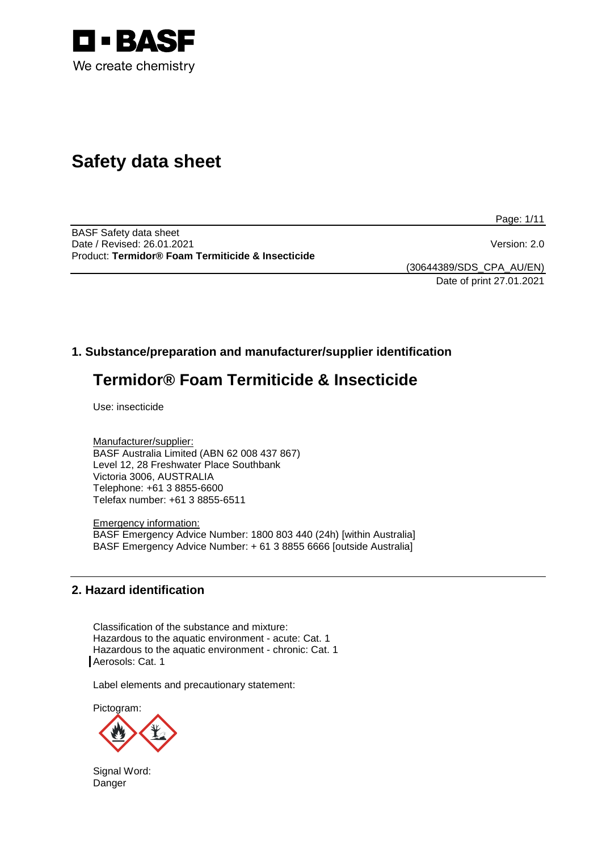

# **Safety data sheet**

Page: 1/11

BASF Safety data sheet Date / Revised: 26.01.2021 Version: 2.0 Product: **Termidor® Foam Termiticide & Insecticide**

(30644389/SDS\_CPA\_AU/EN) Date of print 27.01.2021

# **1. Substance/preparation and manufacturer/supplier identification**

# **Termidor® Foam Termiticide & Insecticide**

Use: insecticide

Manufacturer/supplier: BASF Australia Limited (ABN 62 008 437 867) Level 12, 28 Freshwater Place Southbank Victoria 3006, AUSTRALIA Telephone: +61 3 8855-6600 Telefax number: +61 3 8855-6511

Emergency information: BASF Emergency Advice Number: 1800 803 440 (24h) [within Australia] BASF Emergency Advice Number: + 61 3 8855 6666 [outside Australia]

# **2. Hazard identification**

Classification of the substance and mixture: Hazardous to the aquatic environment - acute: Cat. 1 Hazardous to the aquatic environment - chronic: Cat. 1 Aerosols: Cat. 1

Label elements and precautionary statement:

Pictogram:

Signal Word: Danger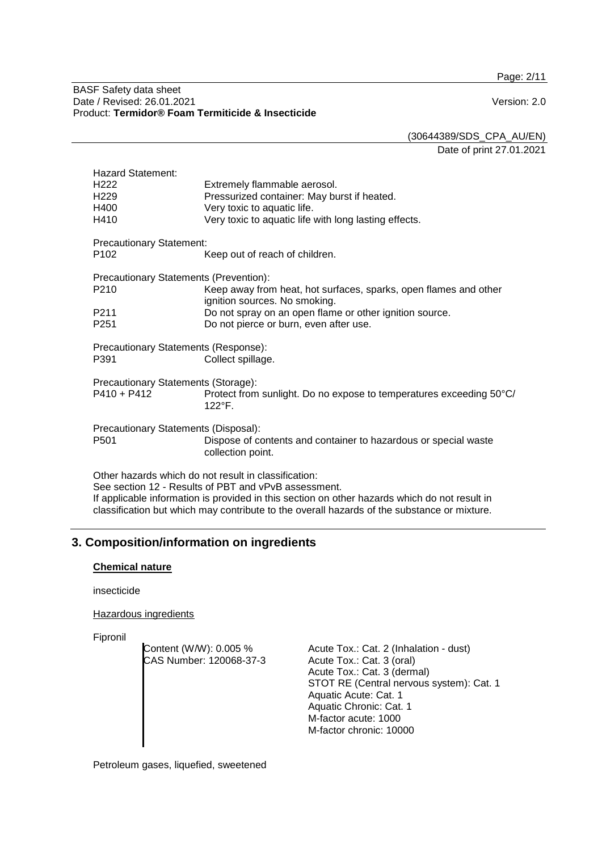Page: 2/11

#### BASF Safety data sheet Date / Revised: 26.01.2021 Version: 2.0 Product: **Termidor® Foam Termiticide & Insecticide**

(30644389/SDS\_CPA\_AU/EN)

Date of print 27.01.2021

| <b>Hazard Statement:</b><br>H <sub>222</sub><br>H <sub>229</sub><br>H400<br>H410                                                                                                                              | Extremely flammable aerosol.<br>Pressurized container: May burst if heated.<br>Very toxic to aquatic life.<br>Very toxic to aquatic life with long lasting effects. |  |
|---------------------------------------------------------------------------------------------------------------------------------------------------------------------------------------------------------------|---------------------------------------------------------------------------------------------------------------------------------------------------------------------|--|
| <b>Precautionary Statement:</b><br>P <sub>102</sub>                                                                                                                                                           | Keep out of reach of children.                                                                                                                                      |  |
| Precautionary Statements (Prevention):<br>P <sub>210</sub>                                                                                                                                                    | Keep away from heat, hot surfaces, sparks, open flames and other                                                                                                    |  |
| P <sub>2</sub> 11<br>P <sub>251</sub>                                                                                                                                                                         | ignition sources. No smoking.<br>Do not spray on an open flame or other ignition source.<br>Do not pierce or burn, even after use.                                  |  |
| Precautionary Statements (Response):<br>P391<br>Collect spillage.                                                                                                                                             |                                                                                                                                                                     |  |
| Precautionary Statements (Storage):<br>$P410 + P412$                                                                                                                                                          | Protect from sunlight. Do no expose to temperatures exceeding 50°C/<br>122°F.                                                                                       |  |
| Precautionary Statements (Disposal):<br>P <sub>501</sub>                                                                                                                                                      | Dispose of contents and container to hazardous or special waste<br>collection point.                                                                                |  |
| Other hazards which do not result in classification:<br>See section 12 - Results of PBT and vPvB assessment.<br>If applicable information is provided in this section on other hazards which do not result in |                                                                                                                                                                     |  |

classification but which may contribute to the overall hazards of the substance or mixture.

# **3. Composition/information on ingredients**

#### **Chemical nature**

insecticide

#### Hazardous ingredients

Fipronil

Content (W/W): 0.005 % CAS Number: 120068-37-3 Acute Tox.: Cat. 2 (Inhalation - dust) Acute Tox.: Cat. 3 (oral) Acute Tox.: Cat. 3 (dermal) STOT RE (Central nervous system): Cat. 1 Aquatic Acute: Cat. 1 Aquatic Chronic: Cat. 1 M-factor acute: 1000 M-factor chronic: 10000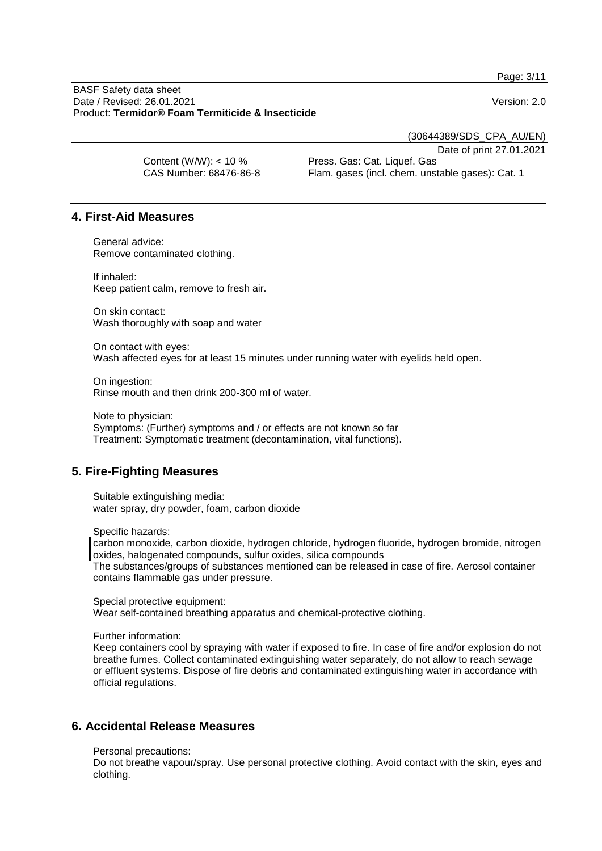Page: 3/11

BASF Safety data sheet Date / Revised: 26.01.2021 Version: 2.0 Product: **Termidor® Foam Termiticide & Insecticide**

(30644389/SDS\_CPA\_AU/EN)

Date of print 27.01.2021

| Content (W/W): $<$ 10 % | _ _ _ _ _ _ _ _ _ _ _ _ _ _ _ _ _<br>Press. Gas: Cat. Liquef. Gas |
|-------------------------|-------------------------------------------------------------------|
| CAS Number: 68476-86-8  | Flam. gases (incl. chem. unstable gases): Cat. 1                  |

# **4. First-Aid Measures**

General advice: Remove contaminated clothing.

If inhaled: Keep patient calm, remove to fresh air.

On skin contact: Wash thoroughly with soap and water

On contact with eyes: Wash affected eyes for at least 15 minutes under running water with eyelids held open.

On ingestion: Rinse mouth and then drink 200-300 ml of water.

Note to physician: Symptoms: (Further) symptoms and / or effects are not known so far Treatment: Symptomatic treatment (decontamination, vital functions).

# **5. Fire-Fighting Measures**

Suitable extinguishing media: water spray, dry powder, foam, carbon dioxide

Specific hazards:

carbon monoxide, carbon dioxide, hydrogen chloride, hydrogen fluoride, hydrogen bromide, nitrogen oxides, halogenated compounds, sulfur oxides, silica compounds The substances/groups of substances mentioned can be released in case of fire. Aerosol container contains flammable gas under pressure.

Special protective equipment: Wear self-contained breathing apparatus and chemical-protective clothing.

#### Further information:

Keep containers cool by spraying with water if exposed to fire. In case of fire and/or explosion do not breathe fumes. Collect contaminated extinguishing water separately, do not allow to reach sewage or effluent systems. Dispose of fire debris and contaminated extinguishing water in accordance with official regulations.

# **6. Accidental Release Measures**

Personal precautions:

Do not breathe vapour/spray. Use personal protective clothing. Avoid contact with the skin, eyes and clothing.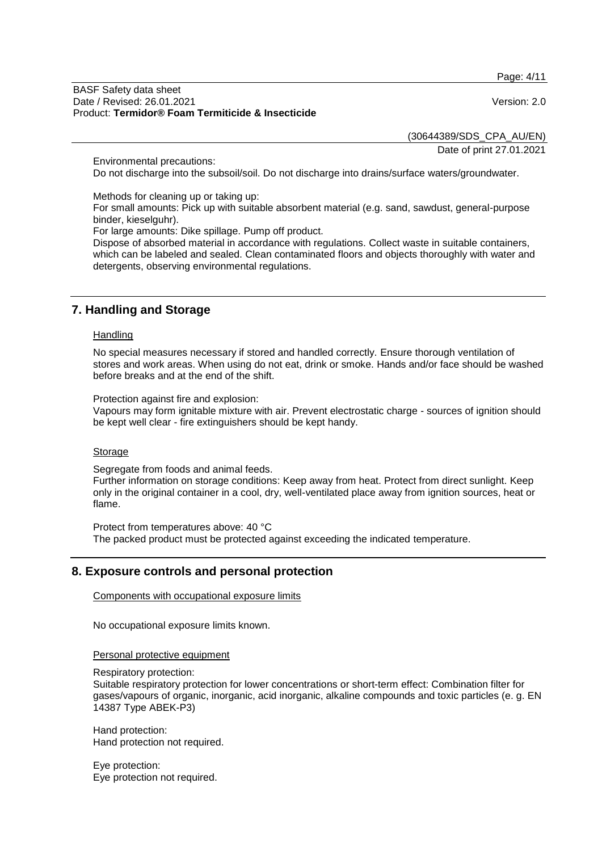Page: 4/11

#### BASF Safety data sheet Date / Revised: 26.01.2021 Version: 2.0 Product: **Termidor® Foam Termiticide & Insecticide**

(30644389/SDS\_CPA\_AU/EN)

Date of print 27.01.2021

Environmental precautions:

Do not discharge into the subsoil/soil. Do not discharge into drains/surface waters/groundwater.

Methods for cleaning up or taking up: For small amounts: Pick up with suitable absorbent material (e.g. sand, sawdust, general-purpose binder, kieselguhr).

For large amounts: Dike spillage. Pump off product.

Dispose of absorbed material in accordance with regulations. Collect waste in suitable containers, which can be labeled and sealed. Clean contaminated floors and objects thoroughly with water and detergents, observing environmental regulations.

# **7. Handling and Storage**

#### **Handling**

No special measures necessary if stored and handled correctly. Ensure thorough ventilation of stores and work areas. When using do not eat, drink or smoke. Hands and/or face should be washed before breaks and at the end of the shift.

Protection against fire and explosion:

Vapours may form ignitable mixture with air. Prevent electrostatic charge - sources of ignition should be kept well clear - fire extinguishers should be kept handy.

#### **Storage**

Segregate from foods and animal feeds.

Further information on storage conditions: Keep away from heat. Protect from direct sunlight. Keep only in the original container in a cool, dry, well-ventilated place away from ignition sources, heat or flame.

Protect from temperatures above: 40 °C The packed product must be protected against exceeding the indicated temperature.

# **8. Exposure controls and personal protection**

Components with occupational exposure limits

No occupational exposure limits known.

Personal protective equipment

Respiratory protection:

Suitable respiratory protection for lower concentrations or short-term effect: Combination filter for gases/vapours of organic, inorganic, acid inorganic, alkaline compounds and toxic particles (e. g. EN 14387 Type ABEK-P3)

Hand protection: Hand protection not required.

Eye protection: Eye protection not required.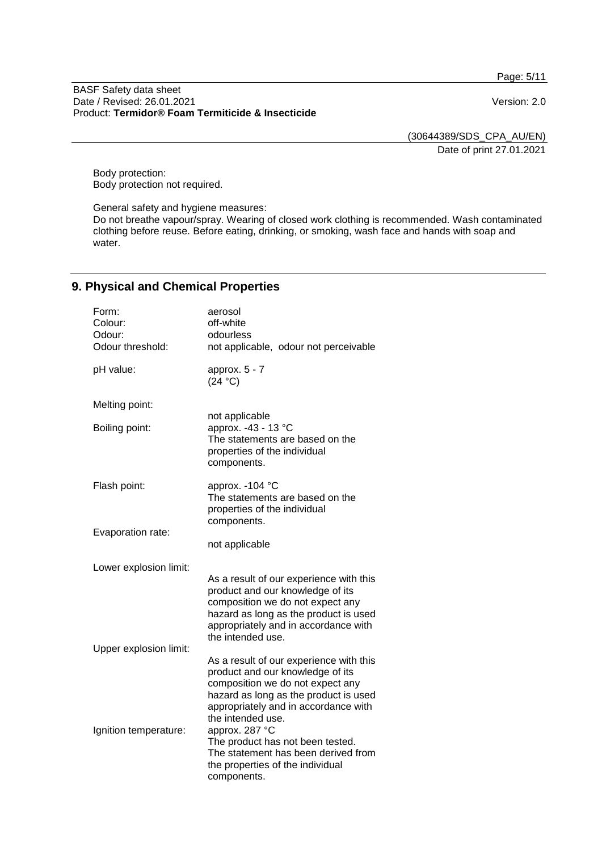Page: 5/11

#### BASF Safety data sheet Date / Revised: 26.01.2021 **Version: 2.0** Product: **Termidor® Foam Termiticide & Insecticide**

(30644389/SDS\_CPA\_AU/EN) Date of print 27.01.2021

Body protection: Body protection not required.

General safety and hygiene measures: Do not breathe vapour/spray. Wearing of closed work clothing is recommended. Wash contaminated clothing before reuse. Before eating, drinking, or smoking, wash face and hands with soap and water.

# **9. Physical and Chemical Properties**

| Form:<br>Colour:<br>Odour:<br>Odour threshold: | aerosol<br>off-white<br>odourless<br>not applicable, odour not perceivable                                                                                                                                            |
|------------------------------------------------|-----------------------------------------------------------------------------------------------------------------------------------------------------------------------------------------------------------------------|
| pH value:                                      | approx. 5 - 7<br>(24 °C)                                                                                                                                                                                              |
| Melting point:                                 |                                                                                                                                                                                                                       |
| Boiling point:                                 | not applicable<br>approx. -43 - 13 °C<br>The statements are based on the<br>properties of the individual<br>components.                                                                                               |
| Flash point:                                   | approx. - 104 °C<br>The statements are based on the<br>properties of the individual<br>components.                                                                                                                    |
| Evaporation rate:                              | not applicable                                                                                                                                                                                                        |
| Lower explosion limit:                         | As a result of our experience with this<br>product and our knowledge of its<br>composition we do not expect any<br>hazard as long as the product is used<br>appropriately and in accordance with<br>the intended use. |
| Upper explosion limit:                         | As a result of our experience with this<br>product and our knowledge of its<br>composition we do not expect any<br>hazard as long as the product is used<br>appropriately and in accordance with                      |
| Ignition temperature:                          | the intended use.<br>approx. 287 °C<br>The product has not been tested.<br>The statement has been derived from<br>the properties of the individual<br>components.                                                     |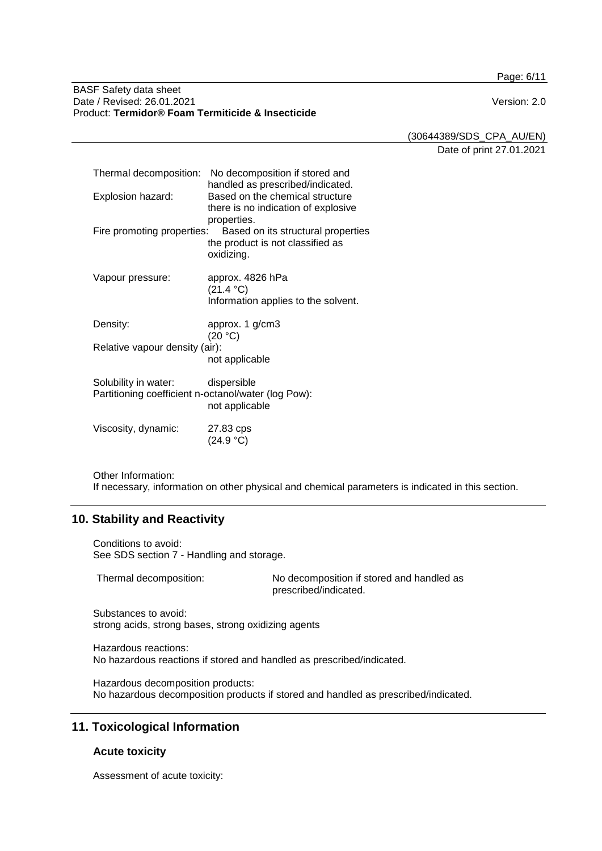Page: 6/11

#### BASF Safety data sheet Date / Revised: 26.01.2021 Version: 2.0 Product: **Termidor® Foam Termiticide & Insecticide**

(30644389/SDS\_CPA\_AU/EN)

Date of print 27.01.2021

|                                                                             | Thermal decomposition: No decomposition if stored and<br>handled as prescribed/indicated.           |
|-----------------------------------------------------------------------------|-----------------------------------------------------------------------------------------------------|
| Explosion hazard:                                                           | Based on the chemical structure<br>there is no indication of explosive                              |
| Fire promoting properties:                                                  | properties.<br>Based on its structural properties<br>the product is not classified as<br>oxidizing. |
| Vapour pressure:                                                            | approx. 4826 hPa<br>(21.4 °C)<br>Information applies to the solvent.                                |
| Density:                                                                    | approx. 1 g/cm3<br>(20 °C)                                                                          |
| Relative vapour density (air):                                              | not applicable                                                                                      |
| Solubility in water:<br>Partitioning coefficient n-octanol/water (log Pow): | dispersible<br>not applicable                                                                       |
| Viscosity, dynamic:                                                         | 27.83 cps<br>(24.9 °C)                                                                              |

Other Information: If necessary, information on other physical and chemical parameters is indicated in this section.

# **10. Stability and Reactivity**

Conditions to avoid: See SDS section 7 - Handling and storage.

Thermal decomposition: No decomposition if stored and handled as prescribed/indicated.

Substances to avoid: strong acids, strong bases, strong oxidizing agents

Hazardous reactions: No hazardous reactions if stored and handled as prescribed/indicated.

Hazardous decomposition products: No hazardous decomposition products if stored and handled as prescribed/indicated.

# **11. Toxicological Information**

# **Acute toxicity**

Assessment of acute toxicity: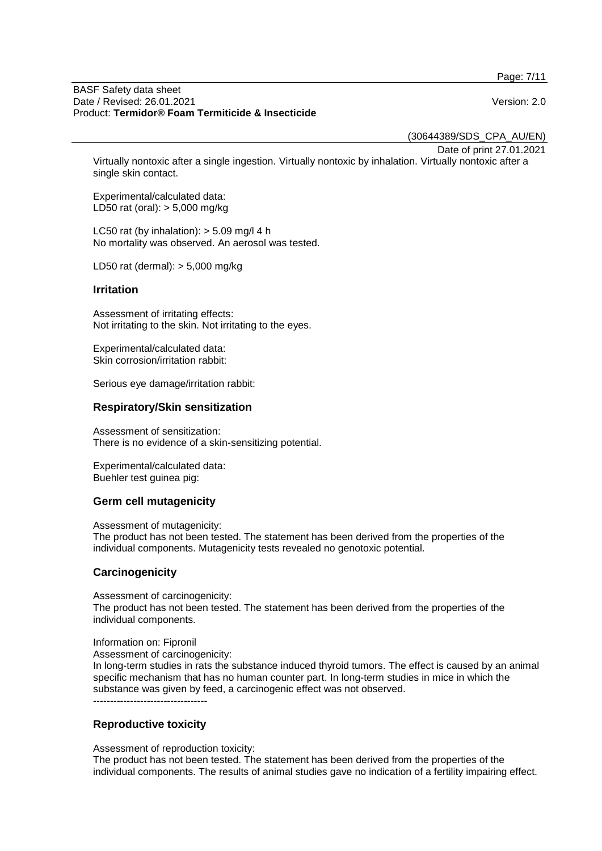Page: 7/11

#### BASF Safety data sheet Date / Revised: 26.01.2021 Version: 2.0 Product: **Termidor® Foam Termiticide & Insecticide**

(30644389/SDS\_CPA\_AU/EN)

Date of print 27.01.2021

Virtually nontoxic after a single ingestion. Virtually nontoxic by inhalation. Virtually nontoxic after a single skin contact.

Experimental/calculated data: LD50 rat (oral): > 5,000 mg/kg

LC50 rat (by inhalation):  $>$  5.09 mg/l 4 h No mortality was observed. An aerosol was tested.

LD50 rat (dermal): > 5,000 mg/kg

#### **Irritation**

Assessment of irritating effects: Not irritating to the skin. Not irritating to the eyes.

Experimental/calculated data: Skin corrosion/irritation rabbit:

Serious eye damage/irritation rabbit:

#### **Respiratory/Skin sensitization**

Assessment of sensitization: There is no evidence of a skin-sensitizing potential.

Experimental/calculated data: Buehler test guinea pig:

#### **Germ cell mutagenicity**

Assessment of mutagenicity: The product has not been tested. The statement has been derived from the properties of the individual components. Mutagenicity tests revealed no genotoxic potential.

#### **Carcinogenicity**

Assessment of carcinogenicity: The product has not been tested. The statement has been derived from the properties of the individual components.

Information on: Fipronil

Assessment of carcinogenicity:

In long-term studies in rats the substance induced thyroid tumors. The effect is caused by an animal specific mechanism that has no human counter part. In long-term studies in mice in which the substance was given by feed, a carcinogenic effect was not observed. ----------------------------------

**Reproductive toxicity**

Assessment of reproduction toxicity:

The product has not been tested. The statement has been derived from the properties of the individual components. The results of animal studies gave no indication of a fertility impairing effect.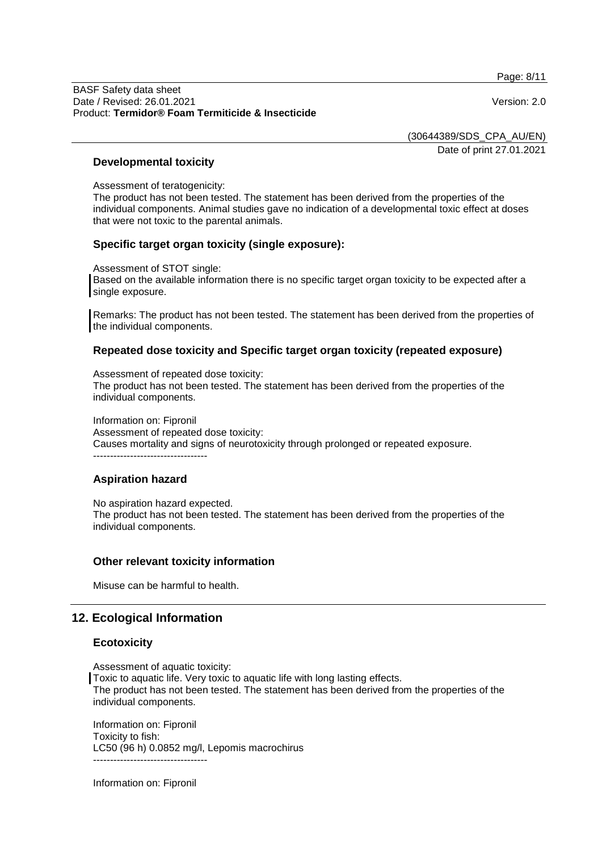Page: 8/11

(30644389/SDS\_CPA\_AU/EN)

Date of print 27.01.2021

### **Developmental toxicity**

Assessment of teratogenicity:

The product has not been tested. The statement has been derived from the properties of the individual components. Animal studies gave no indication of a developmental toxic effect at doses that were not toxic to the parental animals.

### **Specific target organ toxicity (single exposure):**

Assessment of STOT single:

Based on the available information there is no specific target organ toxicity to be expected after a single exposure.

Remarks: The product has not been tested. The statement has been derived from the properties of the individual components.

### **Repeated dose toxicity and Specific target organ toxicity (repeated exposure)**

Assessment of repeated dose toxicity: The product has not been tested. The statement has been derived from the properties of the individual components.

Information on: Fipronil Assessment of repeated dose toxicity: Causes mortality and signs of neurotoxicity through prolonged or repeated exposure. ----------------------------------

# **Aspiration hazard**

No aspiration hazard expected. The product has not been tested. The statement has been derived from the properties of the individual components.

# **Other relevant toxicity information**

Misuse can be harmful to health.

# **12. Ecological Information**

#### **Ecotoxicity**

Assessment of aquatic toxicity: Toxic to aquatic life. Very toxic to aquatic life with long lasting effects. The product has not been tested. The statement has been derived from the properties of the individual components.

Information on: Fipronil Toxicity to fish: LC50 (96 h) 0.0852 mg/l, Lepomis macrochirus ----------------------------------

Information on: Fipronil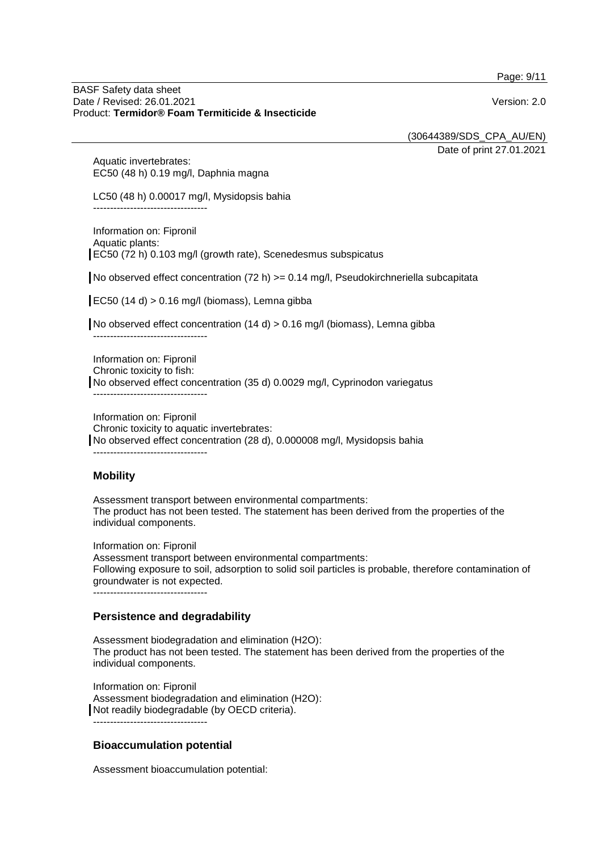Page: 9/11

#### BASF Safety data sheet Date / Revised: 26.01.2021 Version: 2.0 Product: **Termidor® Foam Termiticide & Insecticide**

(30644389/SDS\_CPA\_AU/EN)

Date of print 27.01.2021

Aquatic invertebrates: EC50 (48 h) 0.19 mg/l, Daphnia magna

LC50 (48 h) 0.00017 mg/l, Mysidopsis bahia ----------------------------------

Information on: Fipronil Aquatic plants: EC50 (72 h) 0.103 mg/l (growth rate), Scenedesmus subspicatus

No observed effect concentration  $(72 h)$  >= 0.14 mg/l, Pseudokirchneriella subcapitata

EC50 (14 d)  $> 0.16$  mg/l (biomass), Lemna gibba

No observed effect concentration (14 d) > 0.16 mg/l (biomass), Lemna gibba ----------------------------------

Information on: Fipronil Chronic toxicity to fish: No observed effect concentration (35 d) 0.0029 mg/l, Cyprinodon variegatus ----------------------------------

Information on: Fipronil Chronic toxicity to aquatic invertebrates: No observed effect concentration (28 d), 0.000008 mg/l, Mysidopsis bahia ----------------------------------

# **Mobility**

Assessment transport between environmental compartments: The product has not been tested. The statement has been derived from the properties of the individual components.

Information on: Fipronil Assessment transport between environmental compartments: Following exposure to soil, adsorption to solid soil particles is probable, therefore contamination of groundwater is not expected. ----------------------------------

# **Persistence and degradability**

Assessment biodegradation and elimination (H2O): The product has not been tested. The statement has been derived from the properties of the individual components.

Information on: Fipronil Assessment biodegradation and elimination (H2O): Not readily biodegradable (by OECD criteria). ----------------------------------

# **Bioaccumulation potential**

Assessment bioaccumulation potential: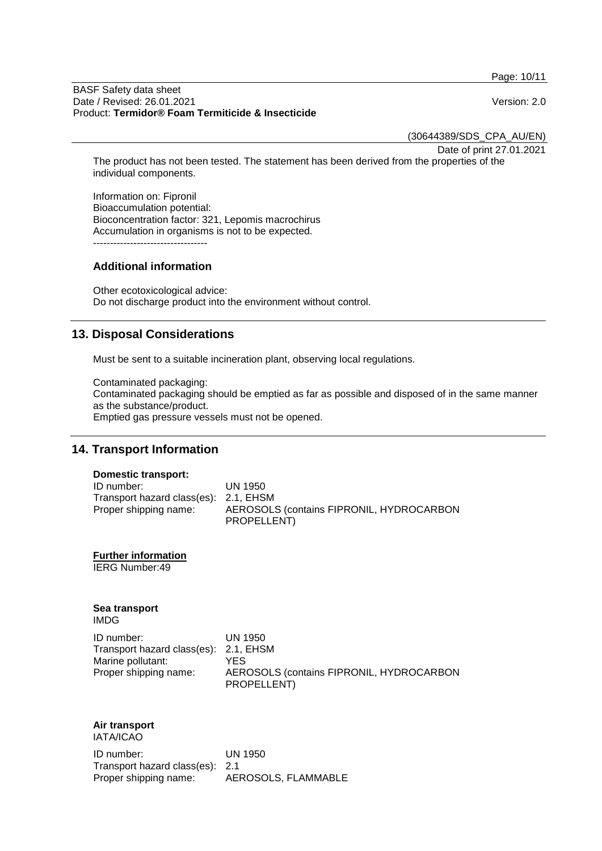Page: 10/11

#### BASF Safety data sheet Date / Revised: 26.01.2021 Version: 2.0 Product: **Termidor® Foam Termiticide & Insecticide**

(30644389/SDS\_CPA\_AU/EN)

Date of print 27.01.2021

The product has not been tested. The statement has been derived from the properties of the individual components.

Information on: Fipronil Bioaccumulation potential: Bioconcentration factor: 321, Lepomis macrochirus Accumulation in organisms is not to be expected. ----------------------------------

### **Additional information**

Other ecotoxicological advice: Do not discharge product into the environment without control.

# **13. Disposal Considerations**

Must be sent to a suitable incineration plant, observing local regulations.

Contaminated packaging: Contaminated packaging should be emptied as far as possible and disposed of in the same manner as the substance/product. Emptied gas pressure vessels must not be opened.

# **14. Transport Information**

#### **Domestic transport:**

| ID number:                            | UN 1950                                  |
|---------------------------------------|------------------------------------------|
| Transport hazard class(es): 2.1, EHSM |                                          |
| Proper shipping name:                 | AEROSOLS (contains FIPRONIL, HYDROCARBON |
|                                       | PROPELLENT)                              |

**Further information**

IERG Number:49

# **Sea transport**

IMDG

| ID number:                            | UN 1950                                  |
|---------------------------------------|------------------------------------------|
| Transport hazard class(es): 2.1, EHSM |                                          |
| Marine pollutant:                     | YFS.                                     |
| Proper shipping name:                 | AEROSOLS (contains FIPRONIL, HYDROCARBON |
|                                       | PROPELLENT)                              |

# **Air transport**

IATA/ICAO

ID number: UN 1950 Transport hazard class(es): 2.1 Proper shipping name: AEROSOLS, FLAMMABLE